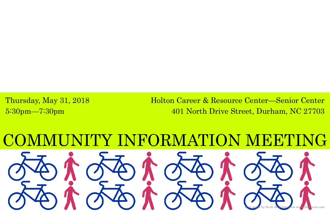Thursday, May 31, 2018 5:30pm—7:30pm

Holton Career & Resource Center—Senior Center 401 North Drive Street, Durham, NC 27703

## COMMUNITY INFORMATION MEETING Icon made by Scott de Jonge from www.flatincon.com